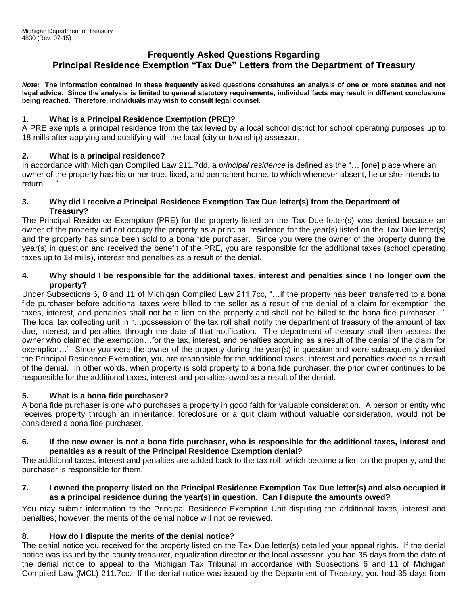# **Frequently Asked Questions Regarding Principal Residence Exemption "Tax Due" Letters from the Department of Treasury**

*Note:* **The information contained in these frequently asked questions constitutes an analysis of one or more statutes and not legal advice. Since the analysis is limited to general statutory requirements, individual facts may result in different conclusions being reached. Therefore, individuals may wish to consult legal counsel.**

### **1. What is a Principal Residence Exemption (PRE)?**

A PRE exempts a principal residence from the tax levied by a local school district for school operating purposes up to 18 mills after applying and qualifying with the local (city or township) assessor.

## **2. What is a principal residence?**

In accordance with Michigan Compiled Law 211.7dd, a *principal residence* is defined as the "… [one] place where an owner of the property has his or her true, fixed, and permanent home, to which whenever absent, he or she intends to return …."

#### **3. Why did I receive a Principal Residence Exemption Tax Due letter(s) from the Department of Treasury?**

The Principal Residence Exemption (PRE) for the property listed on the Tax Due letter(s) was denied because an owner of the property did not occupy the property as a principal residence for the year(s) listed on the Tax Due letter(s) and the property has since been sold to a bona fide purchaser. Since you were the owner of the property during the year(s) in question and received the benefit of the PRE, you are responsible for the additional taxes (school operating taxes up to 18 mills), interest and penalties as a result of the denial.

#### **4. Why should I be responsible for the additional taxes, interest and penalties since I no longer own the property?**

Under Subsections 6, 8 and 11 of Michigan Compiled Law 211.7cc, "…if the property has been transferred to a bona fide purchaser before additional taxes were billed to the seller as a result of the denial of a claim for exemption, the taxes, interest, and penalties shall not be a lien on the property and shall not be billed to the bona fide purchaser…" The local tax collecting unit in "…possession of the tax roll shall notify the department of treasury of the amount of tax due, interest, and penalties through the date of that notification. The department of treasury shall then assess the owner who claimed the exemption…for the tax, interest, and penalties accruing as a result of the denial of the claim for exemption…" Since you were the owner of the property during the year(s) in question and were subsequently denied the Principal Residence Exemption, you are responsible for the additional taxes, interest and penalties owed as a result of the denial. In other words, when property is sold property to a bona fide purchaser, the prior owner continues to be responsible for the additional taxes, interest and penalties owed as a result of the denial.

## **5. What is a bona fide purchaser?**

A bona fide purchaser is one who purchases a property in good faith for valuable consideration. A person or entity who receives property through an inheritance, foreclosure or a quit claim without valuable consideration, would not be considered a bona fide purchaser.

#### **6. If the new owner is not a bona fide purchaser, who is responsible for the additional taxes, interest and penalties as a result of the Principal Residence Exemption denial?**

The additional taxes, interest and penalties are added back to the tax roll, which become a lien on the property, and the purchaser is responsible for them.

#### **7. I owned the property listed on the Principal Residence Exemption Tax Due letter(s) and also occupied it as a principal residence during the year(s) in question. Can I dispute the amounts owed?**

You may submit information to the Principal Residence Exemption Unit disputing the additional taxes, interest and penalties; however, the merits of the denial notice will not be reviewed.

## **8. How do I dispute the merits of the denial notice?**

The denial notice you received for the property listed on the Tax Due letter(s) detailed your appeal rights. If the denial notice was issued by the county treasurer, equalization director or the local assessor, you had 35 days from the date of the denial notice to appeal to the Michigan Tax Tribunal in accordance with Subsections 6 and 11 of Michigan Compiled Law (MCL) 211.7cc. If the denial notice was issued by the Department of Treasury, you had 35 days from